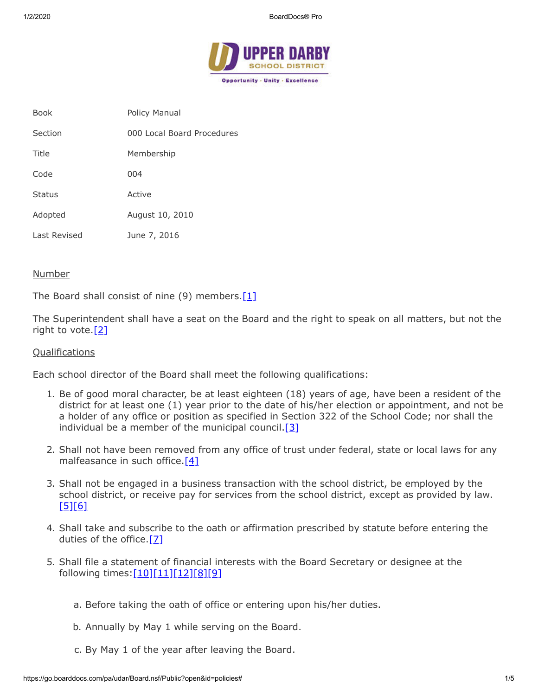

| Policy Manual              |
|----------------------------|
| 000 Local Board Procedures |
| Membership                 |
| 004                        |
| Active                     |
| August 10, 2010            |
| June 7, 2016               |
|                            |

## Number

The Board shall consist of nine (9) members.  $[1]$ 

The Superintendent shall have a seat on the Board and the right to speak on all matters, but not the right to vote. $[2]$ 

## **Qualifications**

Each school director of the Board shall meet the following qualifications:

- 1. Be of good moral character, be at least eighteen (18) years of age, have been a resident of the district for at least one (1) year prior to the date of his/her election or appointment, and not be a holder of any office or position as specified in Section 322 of the School Code; nor shall the individual be a member of the municipal council.  $[3]$
- 2. Shall not have been removed from any office of trust under federal, state or local laws for any malfeasance in such office. $[4]$
- 3. Shall not be engaged in a business transaction with the school district, be employed by the school district, or receive pay for services from the school district, except as provided by law.  $[5]$ [\[6\]](http://www.legis.state.pa.us/cfdocs/legis/LI/consCheck.cfm?txtType=HTM&ttl=65&div=0&chpt=11)
- 4. Shall take and subscribe to the oath or affirmation prescribed by statute before entering the duties of the office. $[7]$
- 5. Shall file a statement of financial interests with the Board Secretary or designee at the following times: [10][\[11\]](http://pacodeandbulletin.gov/Display/pacode?file=/secure/pacode/data/051/chapter15/s15.2.html&d=reduce)[\[12\]](http://pacodeandbulletin.gov/Display/pacode?file=/secure/pacode/data/051/chapter15/s15.3.html&d=reduce)[\[8\]](http://www.legis.state.pa.us/cfdocs/legis/LI/consCheck.cfm?txtType=HTM&ttl=65&div=0&chpt=11&sctn=2&subsctn=0)[\[9\]](http://www.legis.state.pa.us/cfdocs/legis/LI/consCheck.cfm?txtType=HTM&ttl=65&div=0&chpt=11&sctn=4&subsctn=0)
	- a. Before taking the oath of office or entering upon his/her duties.
	- b. Annually by May 1 while serving on the Board.
	- c. By May 1 of the year after leaving the Board.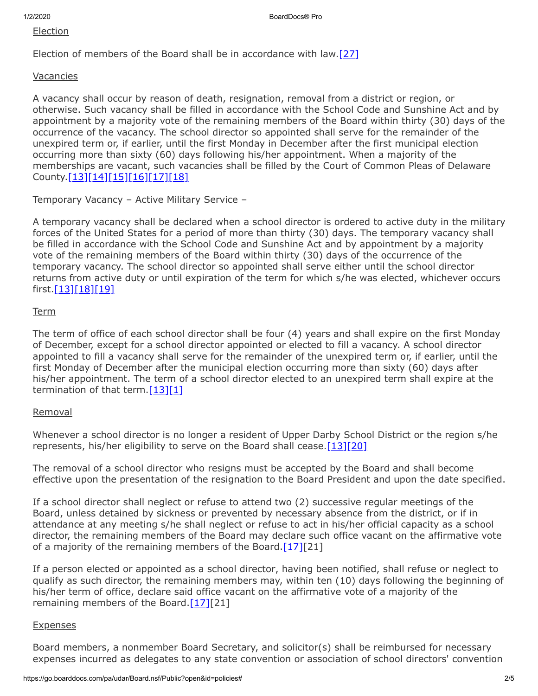#### Election

Election of members of the Board shall be in accordance with law. $[27]$ 

#### Vacancies

A vacancy shall occur by reason of death, resignation, removal from a district or region, or otherwise. Such vacancy shall be filled in accordance with the School Code and Sunshine Act and by appointment by a majority vote of the remaining members of the Board within thirty (30) days of the occurrence of the vacancy. The school director so appointed shall serve for the remainder of the unexpired term or, if earlier, until the first Monday in December after the first municipal election occurring more than sixty (60) days following his/her appointment. When a majority of the memberships are vacant, such vacancies shall be filled by the Court of Common Pleas of Delaware County.[\[13\]](http://www.legis.state.pa.us/cfdocs/legis/LI/uconsCheck.cfm?txtType=HTM&yr=1949&sessInd=0&smthLwInd=0&act=14&chpt=3&sctn=15&subsctn=0)[\[14\]](http://www.legis.state.pa.us/cfdocs/legis/LI/uconsCheck.cfm?txtType=HTM&yr=1949&sessInd=0&smthLwInd=0&act=14&chpt=3&sctn=16&subsctn=0)[\[15\]](http://www.legis.state.pa.us/cfdocs/legis/LI/uconsCheck.cfm?txtType=HTM&yr=1949&sessInd=0&smthLwInd=0&act=14&chpt=3&sctn=17&subsctn=0)[\[16\]](http://www.legis.state.pa.us/cfdocs/legis/LI/uconsCheck.cfm?txtType=HTM&yr=1949&sessInd=0&smthLwInd=0&act=14&chpt=3&sctn=18&subsctn=0)[\[17\]](http://www.legis.state.pa.us/cfdocs/legis/LI/uconsCheck.cfm?txtType=HTM&yr=1949&sessInd=0&smthLwInd=0&act=14&chpt=3&sctn=19&subsctn=0)[\[18\]](http://www.legis.state.pa.us/cfdocs/legis/LI/consCheck.cfm?txtType=HTM&ttl=65&div=0&chpt=7)

#### Temporary Vacancy – Active Military Service –

A temporary vacancy shall be declared when a school director is ordered to active duty in the military forces of the United States for a period of more than thirty (30) days. The temporary vacancy shall be filled in accordance with the School Code and Sunshine Act and by appointment by a majority vote of the remaining members of the Board within thirty (30) days of the occurrence of the temporary vacancy. The school director so appointed shall serve either until the school director returns from active duty or until expiration of the term for which s/he was elected, whichever occurs first.[\[13\]](http://www.legis.state.pa.us/cfdocs/legis/LI/uconsCheck.cfm?txtType=HTM&yr=1949&sessInd=0&smthLwInd=0&act=14&chpt=3&sctn=15&subsctn=0)[\[18\]](http://www.legis.state.pa.us/cfdocs/legis/LI/consCheck.cfm?txtType=HTM&ttl=65&div=0&chpt=7)[\[19\]](http://www.legis.state.pa.us/cfdocs/legis/LI/uconsCheck.cfm?txtType=HTM&yr=1949&sessInd=0&smthLwInd=0&act=14&chpt=4&sctn=7&subsctn=0)

## Term

The term of office of each school director shall be four (4) years and shall expire on the first Monday of December, except for a school director appointed or elected to fill a vacancy. A school director appointed to fill a vacancy shall serve for the remainder of the unexpired term or, if earlier, until the first Monday of December after the municipal election occurring more than sixty (60) days after his/her appointment. The term of a school director elected to an unexpired term shall expire at the termination of that term. $[13][1]$  $[13][1]$ 

## Removal

Whenever a school director is no longer a resident of Upper Darby School District or the region s/he represents, his/her eligibility to serve on the Board shall cease. [\[13\]](http://www.legis.state.pa.us/cfdocs/legis/LI/uconsCheck.cfm?txtType=HTM&yr=1949&sessInd=0&smthLwInd=0&act=14&chpt=3&sctn=15&subsctn=0)[\[20\]](http://www.legis.state.pa.us/cfdocs/legis/Li/uconsCheck.cfm?txtType=HTM&yr=1874&sessInd=0&act=0120)

The removal of a school director who resigns must be accepted by the Board and shall become effective upon the presentation of the resignation to the Board President and upon the date specified.

If a school director shall neglect or refuse to attend two (2) successive regular meetings of the Board, unless detained by sickness or prevented by necessary absence from the district, or if in attendance at any meeting s/he shall neglect or refuse to act in his/her official capacity as a school director, the remaining members of the Board may declare such office vacant on the affirmative vote of a majority of the remaining members of the Board. $[17][21]$  $[17][21]$ 

If a person elected or appointed as a school director, having been notified, shall refuse or neglect to qualify as such director, the remaining members may, within ten (10) days following the beginning of his/her term of office, declare said office vacant on the affirmative vote of a majority of the remaining members of the Board. $[17][21]$  $[17][21]$ 

## **Expenses**

Board members, a nonmember Board Secretary, and solicitor(s) shall be reimbursed for necessary expenses incurred as delegates to any state convention or association of school directors' convention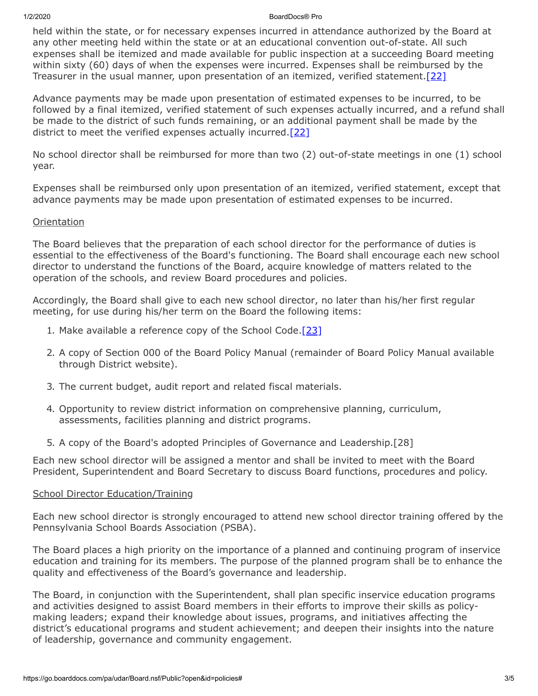#### 1/2/2020 BoardDocs® Pro

held within the state, or for necessary expenses incurred in attendance authorized by the Board at any other meeting held within the state or at an educational convention out-of-state. All such expenses shall be itemized and made available for public inspection at a succeeding Board meeting within sixty (60) days of when the expenses were incurred. Expenses shall be reimbursed by the Treasurer in the usual manner, upon presentation of an itemized, verified statement. [22]

Advance payments may be made upon presentation of estimated expenses to be incurred, to be followed by a final itemized, verified statement of such expenses actually incurred, and a refund shall be made to the district of such funds remaining, or an additional payment shall be made by the district to meet the verified expenses actually incurred. [\[22\]](http://www.legis.state.pa.us/cfdocs/legis/LI/uconsCheck.cfm?txtType=HTM&yr=1949&sessInd=0&smthLwInd=0&act=14&chpt=5&sctn=16&subsctn=1)

No school director shall be reimbursed for more than two (2) out-of-state meetings in one (1) school year.

Expenses shall be reimbursed only upon presentation of an itemized, verified statement, except that advance payments may be made upon presentation of estimated expenses to be incurred.

# **Orientation**

The Board believes that the preparation of each school director for the performance of duties is essential to the effectiveness of the Board's functioning. The Board shall encourage each new school director to understand the functions of the Board, acquire knowledge of matters related to the operation of the schools, and review Board procedures and policies.

Accordingly, the Board shall give to each new school director, no later than his/her first regular meeting, for use during his/her term on the Board the following items:

- 1. Make available a reference copy of the School Code.<sup>[23]</sup>
- 2. A copy of Section 000 of the Board Policy Manual (remainder of Board Policy Manual available through District website).
- 3. The current budget, audit report and related fiscal materials.
- 4. Opportunity to review district information on comprehensive planning, curriculum, assessments, facilities planning and district programs.
- 5. A copy of the Board's adopted Principles of Governance and Leadership.[28]

Each new school director will be assigned a mentor and shall be invited to meet with the Board President, Superintendent and Board Secretary to discuss Board functions, procedures and policy.

# School Director Education/Training

Each new school director is strongly encouraged to attend new school director training offered by the Pennsylvania School Boards Association (PSBA).

The Board places a high priority on the importance of a planned and continuing program of inservice education and training for its members. The purpose of the planned program shall be to enhance the quality and effectiveness of the Board's governance and leadership.

The Board, in conjunction with the Superintendent, shall plan specific inservice education programs and activities designed to assist Board members in their efforts to improve their skills as policymaking leaders; expand their knowledge about issues, programs, and initiatives affecting the district's educational programs and student achievement; and deepen their insights into the nature of leadership, governance and community engagement.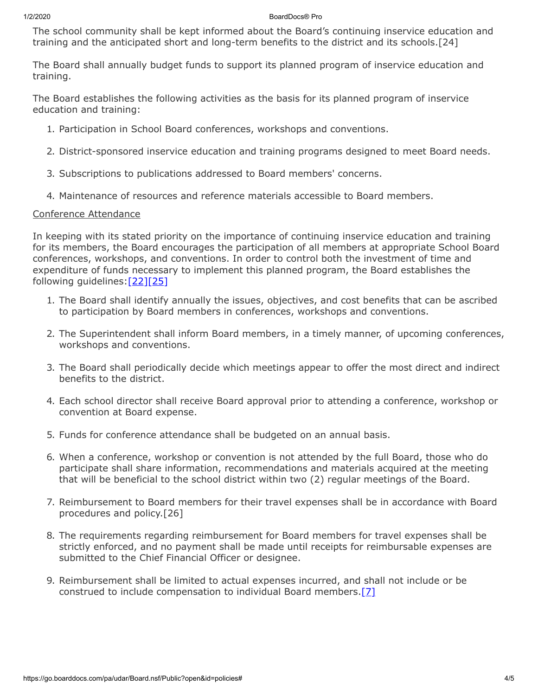#### 1/2/2020 BoardDocs® Pro

The school community shall be kept informed about the Board's continuing inservice education and training and the anticipated short and long-term benefits to the district and its schools.[24]

The Board shall annually budget funds to support its planned program of inservice education and training.

The Board establishes the following activities as the basis for its planned program of inservice education and training:

- 1. Participation in School Board conferences, workshops and conventions.
- 2. District-sponsored inservice education and training programs designed to meet Board needs.
- 3. Subscriptions to publications addressed to Board members' concerns.
- 4. Maintenance of resources and reference materials accessible to Board members.

## Conference Attendance

In keeping with its stated priority on the importance of continuing inservice education and training for its members, the Board encourages the participation of all members at appropriate School Board conferences, workshops, and conventions. In order to control both the investment of time and expenditure of funds necessary to implement this planned program, the Board establishes the following guidelines: [22][\[25\]](http://www.legis.state.pa.us/cfdocs/legis/LI/uconsCheck.cfm?txtType=HTM&yr=1949&sessInd=0&smthLwInd=0&act=14&chpt=5&sctn=16&subsctn=0)

- 1. The Board shall identify annually the issues, objectives, and cost benefits that can be ascribed to participation by Board members in conferences, workshops and conventions.
- 2. The Superintendent shall inform Board members, in a timely manner, of upcoming conferences, workshops and conventions.
- 3. The Board shall periodically decide which meetings appear to offer the most direct and indirect benefits to the district.
- 4. Each school director shall receive Board approval prior to attending a conference, workshop or convention at Board expense.
- 5. Funds for conference attendance shall be budgeted on an annual basis.
- 6. When a conference, workshop or convention is not attended by the full Board, those who do participate shall share information, recommendations and materials acquired at the meeting that will be beneficial to the school district within two (2) regular meetings of the Board.
- 7. Reimbursement to Board members for their travel expenses shall be in accordance with Board procedures and policy.[26]
- 8. The requirements regarding reimbursement for Board members for travel expenses shall be strictly enforced, and no payment shall be made until receipts for reimbursable expenses are submitted to the Chief Financial Officer or designee.
- 9. Reimbursement shall be limited to actual expenses incurred, and shall not include or be construed to include compensation to individual Board members. $[7]$